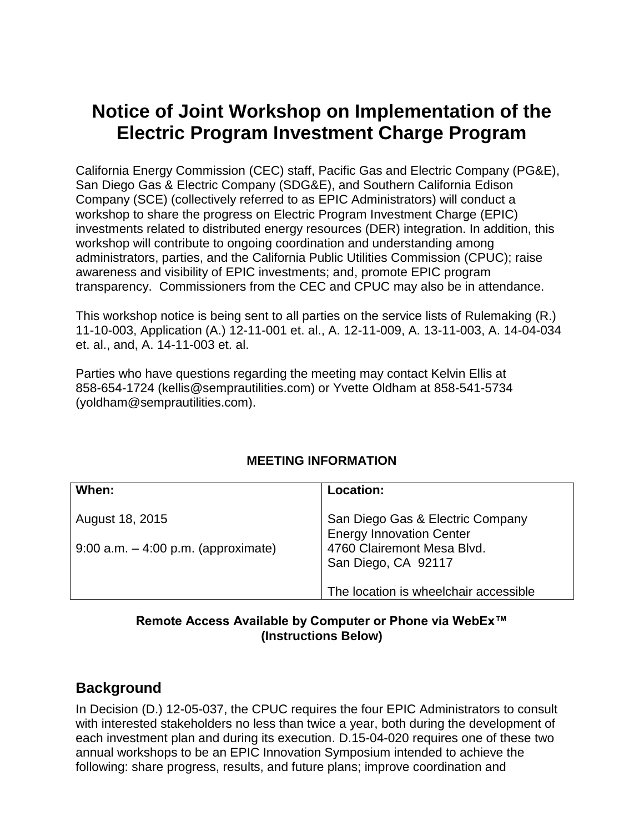# **Notice of Joint Workshop on Implementation of the Electric Program Investment Charge Program**

California Energy Commission (CEC) staff, Pacific Gas and Electric Company (PG&E), San Diego Gas & Electric Company (SDG&E), and Southern California Edison Company (SCE) (collectively referred to as EPIC Administrators) will conduct a workshop to share the progress on Electric Program Investment Charge (EPIC) investments related to distributed energy resources (DER) integration. In addition, this workshop will contribute to ongoing coordination and understanding among administrators, parties, and the California Public Utilities Commission (CPUC); raise awareness and visibility of EPIC investments; and, promote EPIC program transparency. Commissioners from the CEC and CPUC may also be in attendance.

This workshop notice is being sent to all parties on the service lists of Rulemaking (R.) 11-10-003, Application (A.) 12-11-001 et. al., A. 12-11-009, A. 13-11-003, A. 14-04-034 et. al., and, A. 14-11-003 et. al.

Parties who have questions regarding the meeting may contact Kelvin Ellis at 858-654-1724 (kellis@semprautilities.com) or Yvette Oldham at 858-541-5734 (yoldham@semprautilities.com).

| When:                                  | Location:                                                           |
|----------------------------------------|---------------------------------------------------------------------|
| August 18, 2015                        | San Diego Gas & Electric Company<br><b>Energy Innovation Center</b> |
| $9:00$ a.m. $-4:00$ p.m. (approximate) | 4760 Clairemont Mesa Blvd.<br>San Diego, CA 92117                   |
|                                        | The location is wheelchair accessible                               |

#### **MEETING INFORMATION**

#### **Remote Access Available by Computer or Phone via WebEx™ (Instructions Below)**

#### **Background**

In Decision (D.) 12-05-037, the CPUC requires the four EPIC Administrators to consult with interested stakeholders no less than twice a year, both during the development of each investment plan and during its execution. D.15-04-020 requires one of these two annual workshops to be an EPIC Innovation Symposium intended to achieve the following: share progress, results, and future plans; improve coordination and